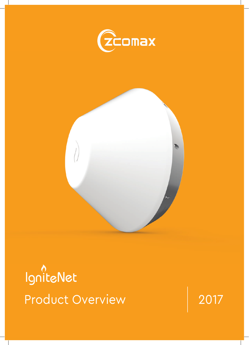



*n*<br>IgniteNet Product Overview 2017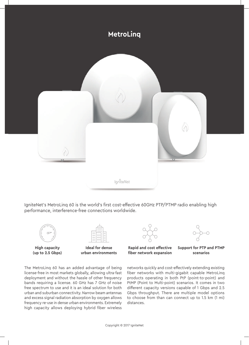

IgniteNet's MetroLing 60 is the world's first cost-effective 60GHz PTP/PTMP radio enabling high performance, interference-free connections worldwide.





**High capacity (up to 2.5 Gbps)**

**Ideal for dense urban environments**

**Rapid and cost effective fber network expansion**

**Support for PTP and PTMP scenarios**

The MetroLinq 60 has an added advantage of being license-free in most markets globally, allowing ultra-fast deployment and without the hassle of other frequency bands requiring a license. 60 GHz has 7 GHz of noise free spectrum to use and it is an ideal solution for both urban and suburban connectivity. Narrow beam antennas and excess signal radiation absorption by oxygen allows frequency re-use in dense urban environments. Extremely high capacity allows deploying hybrid fiber wireless

networks quickly and cost-effectively extending existing fiber networks with multi-gigabit capable MetroLinq products operating in both PtP (point-to-point) and PtMP (Point to Multi-point) scenarios. It comes in two different capacity versions capable of 1 Gbps and 2.5 Gbps throughput. There are multiple model options to choose from than can connect up to 1.5 km (1 mi) distances.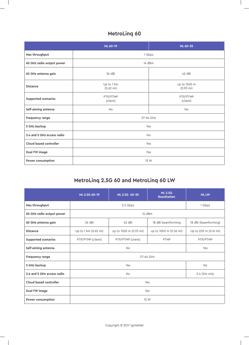### **MetroLinq 60**

 $\overline{\phantom{a}}$ 

 $\sim$  1

|                            | ML 60-19                          | ML 60-35                            |  |  |  |
|----------------------------|-----------------------------------|-------------------------------------|--|--|--|
| Max throughput             | 1 Gbps                            |                                     |  |  |  |
| 60 GHz radio output power  | 14 dBm                            |                                     |  |  |  |
| 60 GHz antenna gain        | 36 dBi                            | 42 dBi                              |  |  |  |
| <b>Distance</b>            | Up to 1 km<br>$(0.62 \text{ mi})$ | up to 1500 m<br>$(0.93 \text{ mi})$ |  |  |  |
| Supported scenarios        | PTP/PTMP<br>(client)              | PTP/PTMP<br>(client)                |  |  |  |
| Self-aiming antenna        | <b>No</b>                         | <b>No</b>                           |  |  |  |
| Frequency range            | 57-64 GHz                         |                                     |  |  |  |
| 5 GHz backup               | Yes                               |                                     |  |  |  |
| 2.4 and 5 GHz access radio | No                                |                                     |  |  |  |
| Cloud based controller     | Yes                               |                                     |  |  |  |
| Dual FW image              | Yes                               |                                     |  |  |  |
| Power consumption          | 15 W                              |                                     |  |  |  |

### **MetroLinq 2.5G 60 and MetroLinq 60 LW**

|                            | ML 2.5G 60-19                          | ML 2.5G 60-35                                    | <b>ML 2.5G</b><br><b>BaseStation</b> | <b>ML LW</b>          |  |  |
|----------------------------|----------------------------------------|--------------------------------------------------|--------------------------------------|-----------------------|--|--|
| Max throughput             |                                        | 1 Gbps                                           |                                      |                       |  |  |
| 60 GHz radio output power  |                                        |                                                  |                                      |                       |  |  |
| 60 GHz antenna gain        | 36 dBi                                 | 42 dBi<br>18 dBi beamforming                     |                                      | 18 dBi (beamforming)  |  |  |
| <b>Distance</b>            | Up to 1 km (0.62 mi)                   | up to 1500 m (0.93 mi)<br>up to 1000 m (0.56 mi) |                                      | Up to 250 m (0.16 mi) |  |  |
| <b>Supported scenarios</b> | PTP/PTMP (client)<br>PTP/PTMP (client) |                                                  | PTMP                                 | PTP/PTMP              |  |  |
| Self-aiming antenna        |                                        | Yes                                              |                                      |                       |  |  |
| <b>Frequency range</b>     | 57-64 GHz                              |                                                  |                                      |                       |  |  |
| 5 GHz backup               |                                        | <b>No</b>                                        |                                      |                       |  |  |
| 2.4 and 5 GHz access radio |                                        | 2.4 GHz only                                     |                                      |                       |  |  |
| Cloud based controller     | Yes                                    |                                                  |                                      |                       |  |  |
| Dual FW image              | Yes                                    |                                                  |                                      |                       |  |  |
| Power consumption          | 15 W                                   |                                                  |                                      |                       |  |  |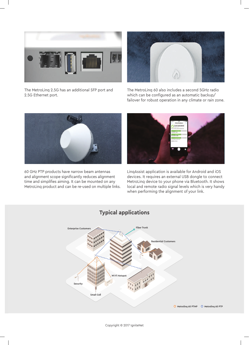

The MetroLinq 2.5G has an additional SFP port and 2.5G Ethernet port.



The MetroLinq 60 also includes a second 5GHz radio which can be configured as an automatic backup/ failover for robust operation in any climate or rain zone.



60 GHz PTP products have narrow beam antennas and alignment scope significantly reduces alignment time and simplifies aiming. It can be mounted on any MetroLinq product and can be re-used on multiple links.



LinqAssist application is available for Android and iOS devices. It requires an external USB dongle to connect MetroLinq device to your phone via Bluetooth. It shows local and remote radio signal levels which is very handy when performing the alignment of your link.

### **Typical applications**



Copyright © 2017 IgniteNet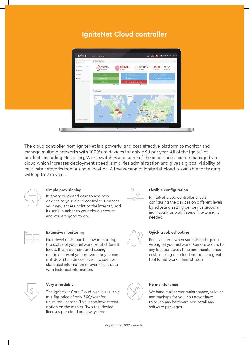# **IgniteNet Cloud controller**



The cloud controller from IgniteNet is a powerful and cost effective platform to monitor and manage multiple networks with 1000's of devices for only £80 per year. All of the IgniteNet products including MetroLinq, Wi-Fi, switches and some of the accessories can be managed via cloud which increases deployment speed, simplifes administration and gives a global visibility of multi-site networks from a single location. A free version of IgniteNet cloud is available for testing with up to 2 devices.



#### **Simple provisioning**

It is very quick and easy to add new devices to your cloud controller. Connect your new access point to the internet, add its serial number to your cloud account and you are good to go.



### **Extensive monitoring**

Multi-level dashboards allow monitoring the status of your network (-s) at different levels. It can be monitored seeing multiple-sites of your network or you can drill down to a device level and see live statistical information or even client data with historical information.



The IgniteNet Core Cloud plan is available at a flat price of only £80/year for unlimited licenses. This is the lowest cost option on the market! Two trial device licenses per cloud are always free.



#### **Flexible confguration**

IgniteNet cloud controller allows confguring the devices on different levels by adjusting setting per device group an individually as well if some fine-tuning is needed.



#### **Quick troubleshooting**

Receive alerts when something is going wrong on your network. Remote access to any location saves time and maintenance costs making our cloud controller a great tool for network administrators.



#### **Very affordable No maintenance**

We handle all server maintenance, failover, and backups for you. You never have to touch any hardware nor install any software packages.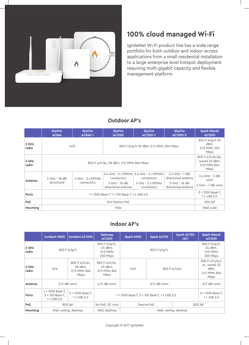

# **100% cloud managed Wi-Fi**

IgniteNet Wi-Fi product line has a wide range portfolio for both outdoor and indoor access applications from a small residential installation to a large enterprise level hotspot deployment requiring multi-gigabit capacity and flexible management platform.

### **Outdoor AP's**

|                | <b>SkyFire</b><br><b>AC866</b>                | <b>SkyFire</b><br>AC866-1         | <b>SkyFire</b><br><b>AC1200</b>                     | <b>SkyFire</b><br>AC1200-1                                                                 | <b>SkyFire</b><br>AC1200-2                                                        | <b>Spark Wave2</b><br><b>AC1200</b>                        |
|----------------|-----------------------------------------------|-----------------------------------|-----------------------------------------------------|--------------------------------------------------------------------------------------------|-----------------------------------------------------------------------------------|------------------------------------------------------------|
| 2 GHz<br>radio | 802.11 b/g/n 30 dBm, 2×2 MiMo 300 Mbps<br>N/A |                                   |                                                     |                                                                                            |                                                                                   | 802.11 b/g/n 24<br>dBm,<br>2×2 MiMo 300<br>Mbps            |
| 5 GHz<br>radio | 802.11 a/n/ac, 28 dBm, 2×2 MiMo 866 Mbps      |                                   |                                                     |                                                                                            |                                                                                   | 802.11 a/n/ac/ac,<br>wave2 22 dBm,<br>2×2 MiMo 866<br>Mbps |
| Antenna        | 5 GHz - 18 dBi<br>directional                 | $5$ GHz – 2 x RPSMA<br>connectors | connectors<br>5 GHz - 18 dBi<br>directional antenna | 2.4 GHz - 2 x RPSMA 2.4 GHz - 2 x RPSMA<br>connectors<br>$5$ GHz - 2 x RPSMA<br>connectors | $2.4$ GHz - 7 dBi<br>directional antenna<br>5 GHz - 18 dBi<br>directional antenna | $2.4$ GHz - 5 dBi<br>omni<br>5 GHz - 7 dBi omni            |
| <b>Ports</b>   | 1 × 1000 Base-T, 1 × 100 Base-T, 1 x USB 2.0  |                                   |                                                     |                                                                                            |                                                                                   | $2 \times 1000$ Base-T.<br>1 x USB 2.0                     |
| <b>PoE</b>     | 24V Passive PoE                               |                                   |                                                     |                                                                                            |                                                                                   | 802.3af                                                    |
| Mounting       |                                               | Wall, pole                        |                                                     |                                                                                            |                                                                                   |                                                            |

### **Indoor AP's**

|                | <b>SunSpot N300</b>                                              | SunSpot AC1200                                    | Gateway<br><b>AC1200</b>                                   | Spark N300             | Spark AC750   | Spark AC750<br>(AF)                    | <b>Spark Wave2</b><br><b>AC1200</b>                            |
|----------------|------------------------------------------------------------------|---------------------------------------------------|------------------------------------------------------------|------------------------|---------------|----------------------------------------|----------------------------------------------------------------|
| 2 GHz<br>radio | 802.11 b/g/n                                                     |                                                   | $802.11 b/g/n$ ,<br>23 dBm,<br>$2\times2$ MiMo<br>300 Mbps | 802.11 b/g/n           |               |                                        | $802.11 b/g/n$ ,<br>24 dBm,<br>$2\times2$ MiMo<br>300 Mbps     |
| 5 GHz<br>radio | N/A                                                              | 802.11 a/n/ac,<br>28 dBm,<br>2×2 MiMo 866<br>Mbps | 802.11 a/n/ac<br>23 dBm,<br>$2\times2$ MiMo 866<br>Mbps    | N/A                    | 802.11 a/n/ac |                                        | 802.11 a/n/ac/<br>ac, wave2 22<br>dBm,<br>2×2 MiMo 866<br>Mbps |
| Antenna        | 5/5 dBi omni                                                     |                                                   | 4/5 dBi omni                                               | 5/5 dBi omni           |               |                                        | 5/7 dBi omni                                                   |
| <b>Ports</b>   | $1 \times 1000$ Base-T,<br>$2 \times 100$ Base-T,<br>1 x USB 2.0 | 5 × 1000 Base-T,<br>1 x USB 2.0                   | 1 × 1000 Base-T, 2 × 100 Base-T, 1 x USB 2.0               |                        |               | $2 \times 1000$ Base-T,<br>1 x USB 2.0 |                                                                |
| PoE            |                                                                  | 802.3at                                           | No PoE, DC only<br>Passive PoE                             |                        | 802.3af       |                                        |                                                                |
| Mounting       | Wall, ceiling, desktop                                           |                                                   | Wall, desktop                                              | Wall, ceiling, desktop |               |                                        |                                                                |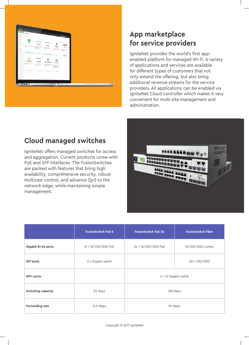

## **App marketplace for service providers**

IgniteNet provides the world's first appenabled platform for managed Wi-Fi. A variety of applications and services are available for different types of customers that not only extend the offering, but also bring additional revenue streams for the service providers. All applications can be enabled via IgniteNet Cloud controller which makes it very convenient for multi-site management and administration.

### **Cloud managed switches**

IgniteNet offers managed switches for access and aggregation. Current products come with PoE and SFP interfaces. The FusionSwitches are packed with features that bring high availability, comprehensive security, robust multicast control, and advance QoS to the network edge, while maintaining simple management.



|                     | <b>FusionSwitch PoE 8</b> | <b>FusionSwitch PoE 24</b> | <b>FusionSwitch Fiber</b> |  |
|---------------------|---------------------------|----------------------------|---------------------------|--|
| Gigabit RJ-45 ports | 8 × 10/100/1000 PoE       | 24 × 10/100/1000 PoE       | 10/100/1000 combo         |  |
| <b>SFP ports</b>    | 2 x Gigabit uplink        | $\overline{\phantom{a}}$   | $20 \times 100 / 1000$    |  |
| SFP+ ports          |                           | 4 × 10 Gigabit uplink      |                           |  |
| Switching capacity  | 20 Gbps                   | 128 Gbps                   |                           |  |
| Forwarding rate     | 14.9 Mpps                 | 95 Mpps                    |                           |  |